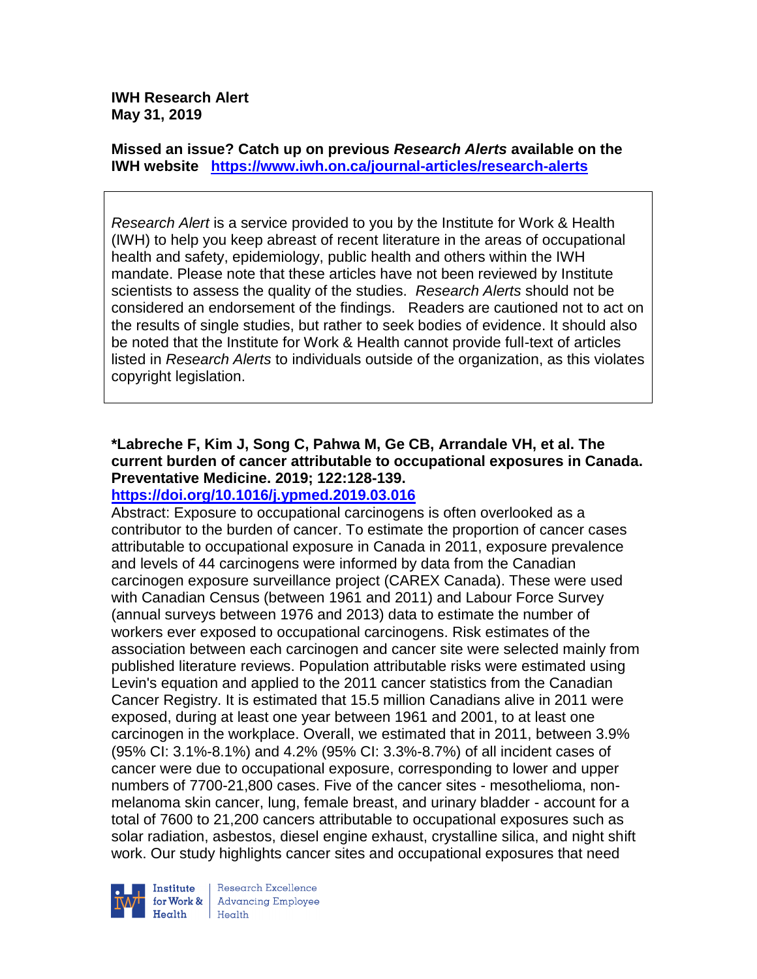**IWH Research Alert May 31, 2019**

**Missed an issue? Catch up on previous** *Research Alerts* **available on the [IWH website](http://www.iwh.on.ca/research-alerts) <https://www.iwh.on.ca/journal-articles/research-alerts>**

*Research Alert* is a service provided to you by the Institute for Work & Health (IWH) to help you keep abreast of recent literature in the areas of occupational health and safety, epidemiology, public health and others within the IWH mandate. Please note that these articles have not been reviewed by Institute scientists to assess the quality of the studies. *Research Alerts* should not be considered an endorsement of the findings. Readers are cautioned not to act on the results of single studies, but rather to seek bodies of evidence. It should also be noted that the Institute for Work & Health cannot provide full-text of articles listed in *Research Alerts* to individuals outside of the organization, as this violates copyright legislation.

# **\*Labreche F, Kim J, Song C, Pahwa M, Ge CB, Arrandale VH, et al. The current burden of cancer attributable to occupational exposures in Canada. Preventative Medicine. 2019; 122:128-139.**

## **<https://doi.org/10.1016/j.ypmed.2019.03.016>**

Abstract: Exposure to occupational carcinogens is often overlooked as a contributor to the burden of cancer. To estimate the proportion of cancer cases attributable to occupational exposure in Canada in 2011, exposure prevalence and levels of 44 carcinogens were informed by data from the Canadian carcinogen exposure surveillance project (CAREX Canada). These were used with Canadian Census (between 1961 and 2011) and Labour Force Survey (annual surveys between 1976 and 2013) data to estimate the number of workers ever exposed to occupational carcinogens. Risk estimates of the association between each carcinogen and cancer site were selected mainly from published literature reviews. Population attributable risks were estimated using Levin's equation and applied to the 2011 cancer statistics from the Canadian Cancer Registry. It is estimated that 15.5 million Canadians alive in 2011 were exposed, during at least one year between 1961 and 2001, to at least one carcinogen in the workplace. Overall, we estimated that in 2011, between 3.9% (95% CI: 3.1%-8.1%) and 4.2% (95% CI: 3.3%-8.7%) of all incident cases of cancer were due to occupational exposure, corresponding to lower and upper numbers of 7700-21,800 cases. Five of the cancer sites - mesothelioma, nonmelanoma skin cancer, lung, female breast, and urinary bladder - account for a total of 7600 to 21,200 cancers attributable to occupational exposures such as solar radiation, asbestos, diesel engine exhaust, crystalline silica, and night shift work. Our study highlights cancer sites and occupational exposures that need



Research Excellence **Advancing Employee** Health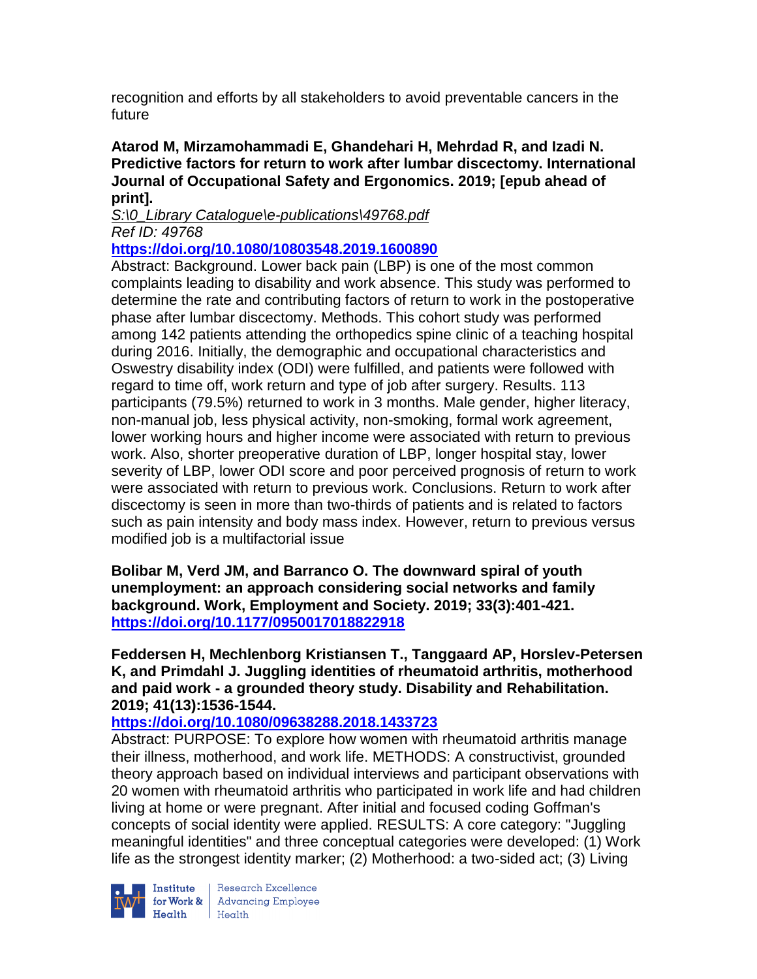recognition and efforts by all stakeholders to avoid preventable cancers in the future

**Atarod M, Mirzamohammadi E, Ghandehari H, Mehrdad R, and Izadi N. Predictive factors for return to work after lumbar discectomy. International Journal of Occupational Safety and Ergonomics. 2019; [epub ahead of print].**

*S:\0\_Library Catalogue\e-publications\49768.pdf Ref ID: 49768*

## **<https://doi.org/10.1080/10803548.2019.1600890>**

Abstract: Background. Lower back pain (LBP) is one of the most common complaints leading to disability and work absence. This study was performed to determine the rate and contributing factors of return to work in the postoperative phase after lumbar discectomy. Methods. This cohort study was performed among 142 patients attending the orthopedics spine clinic of a teaching hospital during 2016. Initially, the demographic and occupational characteristics and Oswestry disability index (ODI) were fulfilled, and patients were followed with regard to time off, work return and type of job after surgery. Results. 113 participants (79.5%) returned to work in 3 months. Male gender, higher literacy, non-manual job, less physical activity, non-smoking, formal work agreement, lower working hours and higher income were associated with return to previous work. Also, shorter preoperative duration of LBP, longer hospital stay, lower severity of LBP, lower ODI score and poor perceived prognosis of return to work were associated with return to previous work. Conclusions. Return to work after discectomy is seen in more than two-thirds of patients and is related to factors such as pain intensity and body mass index. However, return to previous versus modified job is a multifactorial issue

**Bolibar M, Verd JM, and Barranco O. The downward spiral of youth unemployment: an approach considering social networks and family background. Work, Employment and Society. 2019; 33(3):401-421. <https://doi.org/10.1177/0950017018822918>** 

**Feddersen H, Mechlenborg Kristiansen T., Tanggaard AP, Horslev-Petersen K, and Primdahl J. Juggling identities of rheumatoid arthritis, motherhood and paid work - a grounded theory study. Disability and Rehabilitation. 2019; 41(13):1536-1544.** 

# **<https://doi.org/10.1080/09638288.2018.1433723>**

Abstract: PURPOSE: To explore how women with rheumatoid arthritis manage their illness, motherhood, and work life. METHODS: A constructivist, grounded theory approach based on individual interviews and participant observations with 20 women with rheumatoid arthritis who participated in work life and had children living at home or were pregnant. After initial and focused coding Goffman's concepts of social identity were applied. RESULTS: A core category: "Juggling meaningful identities" and three conceptual categories were developed: (1) Work life as the strongest identity marker; (2) Motherhood: a two-sided act; (3) Living



Institute Research Excellence<br>
for Work & Advancing Employee<br>
Health Health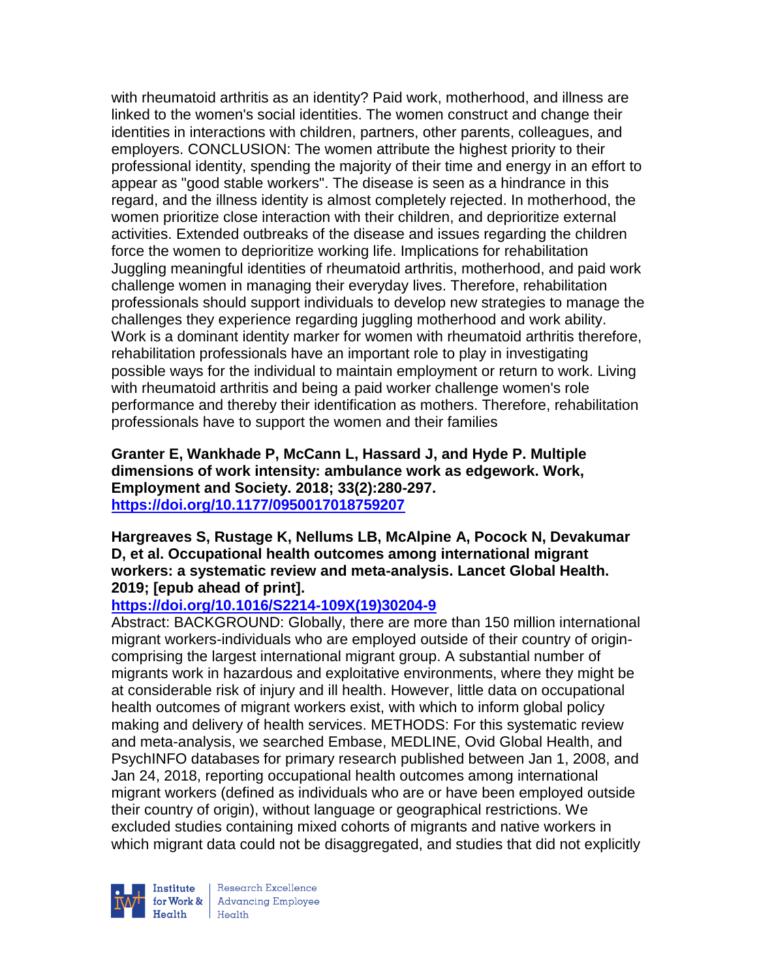with rheumatoid arthritis as an identity? Paid work, motherhood, and illness are linked to the women's social identities. The women construct and change their identities in interactions with children, partners, other parents, colleagues, and employers. CONCLUSION: The women attribute the highest priority to their professional identity, spending the majority of their time and energy in an effort to appear as "good stable workers". The disease is seen as a hindrance in this regard, and the illness identity is almost completely rejected. In motherhood, the women prioritize close interaction with their children, and deprioritize external activities. Extended outbreaks of the disease and issues regarding the children force the women to deprioritize working life. Implications for rehabilitation Juggling meaningful identities of rheumatoid arthritis, motherhood, and paid work challenge women in managing their everyday lives. Therefore, rehabilitation professionals should support individuals to develop new strategies to manage the challenges they experience regarding juggling motherhood and work ability. Work is a dominant identity marker for women with rheumatoid arthritis therefore, rehabilitation professionals have an important role to play in investigating possible ways for the individual to maintain employment or return to work. Living with rheumatoid arthritis and being a paid worker challenge women's role performance and thereby their identification as mothers. Therefore, rehabilitation professionals have to support the women and their families

**Granter E, Wankhade P, McCann L, Hassard J, and Hyde P. Multiple dimensions of work intensity: ambulance work as edgework. Work, Employment and Society. 2018; 33(2):280-297. <https://doi.org/10.1177/0950017018759207>** 

## **Hargreaves S, Rustage K, Nellums LB, McAlpine A, Pocock N, Devakumar D, et al. Occupational health outcomes among international migrant workers: a systematic review and meta-analysis. Lancet Global Health. 2019; [epub ahead of print].**

# **[https://doi.org/10.1016/S2214-109X\(19\)30204-9](https://doi.org/10.1016/S2214-109X(19)30204-9)**

Abstract: BACKGROUND: Globally, there are more than 150 million international migrant workers-individuals who are employed outside of their country of origincomprising the largest international migrant group. A substantial number of migrants work in hazardous and exploitative environments, where they might be at considerable risk of injury and ill health. However, little data on occupational health outcomes of migrant workers exist, with which to inform global policy making and delivery of health services. METHODS: For this systematic review and meta-analysis, we searched Embase, MEDLINE, Ovid Global Health, and PsychINFO databases for primary research published between Jan 1, 2008, and Jan 24, 2018, reporting occupational health outcomes among international migrant workers (defined as individuals who are or have been employed outside their country of origin), without language or geographical restrictions. We excluded studies containing mixed cohorts of migrants and native workers in which migrant data could not be disaggregated, and studies that did not explicitly

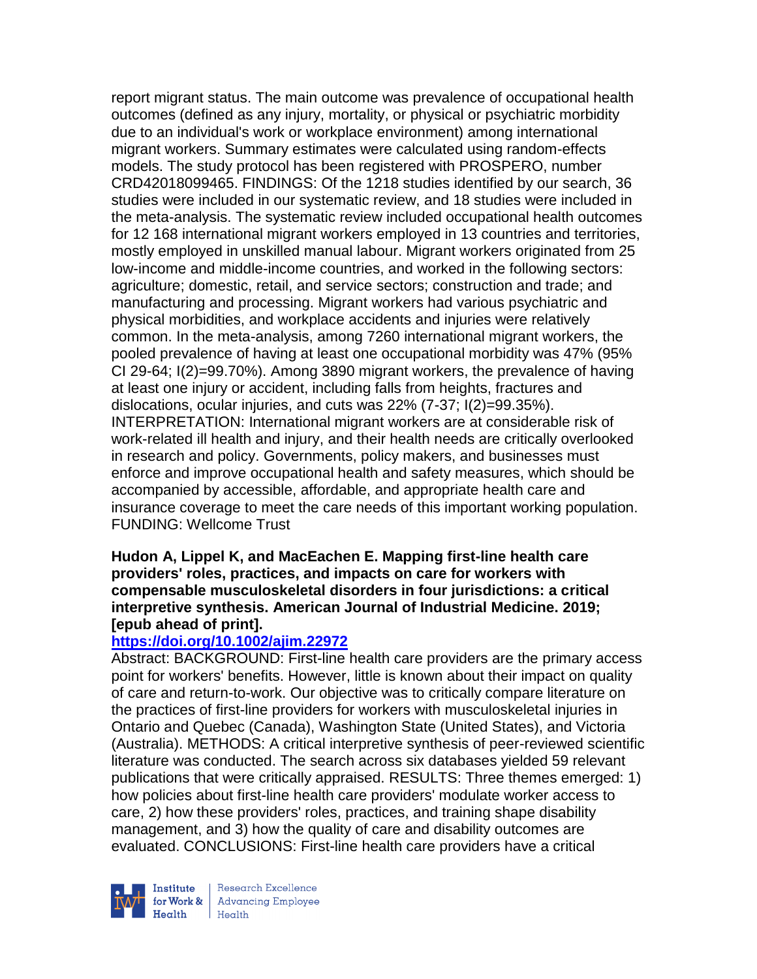report migrant status. The main outcome was prevalence of occupational health outcomes (defined as any injury, mortality, or physical or psychiatric morbidity due to an individual's work or workplace environment) among international migrant workers. Summary estimates were calculated using random-effects models. The study protocol has been registered with PROSPERO, number CRD42018099465. FINDINGS: Of the 1218 studies identified by our search, 36 studies were included in our systematic review, and 18 studies were included in the meta-analysis. The systematic review included occupational health outcomes for 12 168 international migrant workers employed in 13 countries and territories, mostly employed in unskilled manual labour. Migrant workers originated from 25 low-income and middle-income countries, and worked in the following sectors: agriculture; domestic, retail, and service sectors; construction and trade; and manufacturing and processing. Migrant workers had various psychiatric and physical morbidities, and workplace accidents and injuries were relatively common. In the meta-analysis, among 7260 international migrant workers, the pooled prevalence of having at least one occupational morbidity was 47% (95% CI 29-64; I(2)=99.70%). Among 3890 migrant workers, the prevalence of having at least one injury or accident, including falls from heights, fractures and dislocations, ocular injuries, and cuts was 22% (7-37; I(2)=99.35%). INTERPRETATION: International migrant workers are at considerable risk of work-related ill health and injury, and their health needs are critically overlooked in research and policy. Governments, policy makers, and businesses must enforce and improve occupational health and safety measures, which should be accompanied by accessible, affordable, and appropriate health care and insurance coverage to meet the care needs of this important working population. FUNDING: Wellcome Trust

#### **Hudon A, Lippel K, and MacEachen E. Mapping first-line health care providers' roles, practices, and impacts on care for workers with compensable musculoskeletal disorders in four jurisdictions: a critical interpretive synthesis. American Journal of Industrial Medicine. 2019; [epub ahead of print].**

# **<https://doi.org/10.1002/ajim.22972>**

Abstract: BACKGROUND: First-line health care providers are the primary access point for workers' benefits. However, little is known about their impact on quality of care and return-to-work. Our objective was to critically compare literature on the practices of first-line providers for workers with musculoskeletal injuries in Ontario and Quebec (Canada), Washington State (United States), and Victoria (Australia). METHODS: A critical interpretive synthesis of peer-reviewed scientific literature was conducted. The search across six databases yielded 59 relevant publications that were critically appraised. RESULTS: Three themes emerged: 1) how policies about first-line health care providers' modulate worker access to care, 2) how these providers' roles, practices, and training shape disability management, and 3) how the quality of care and disability outcomes are evaluated. CONCLUSIONS: First-line health care providers have a critical

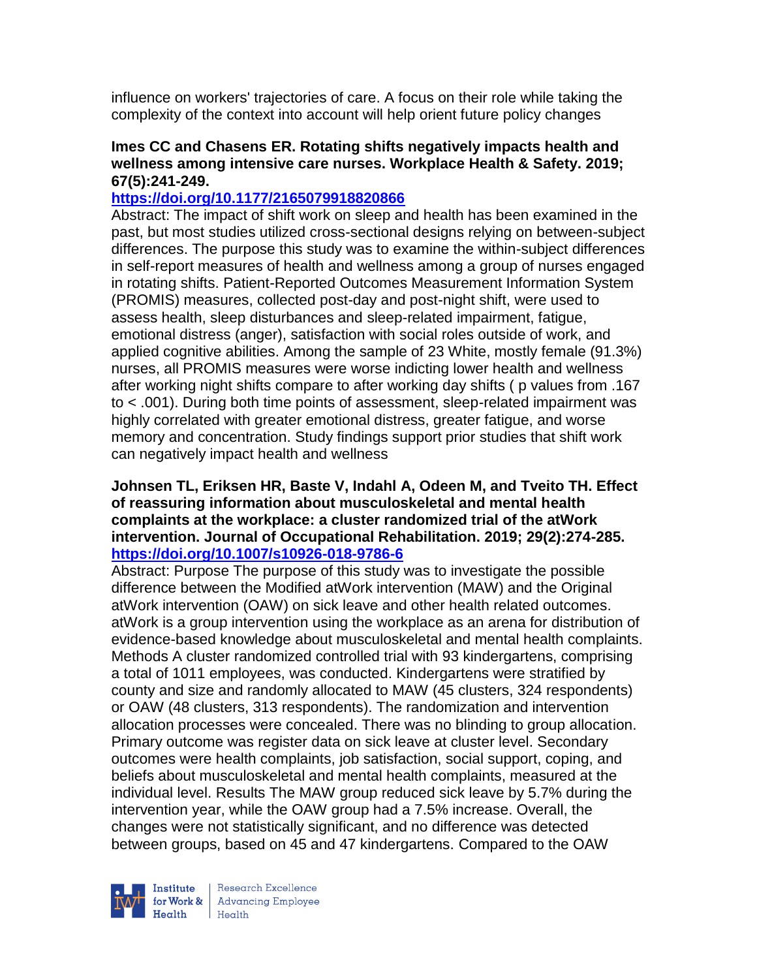influence on workers' trajectories of care. A focus on their role while taking the complexity of the context into account will help orient future policy changes

## **Imes CC and Chasens ER. Rotating shifts negatively impacts health and wellness among intensive care nurses. Workplace Health & Safety. 2019; 67(5):241-249.**

## **<https://doi.org/10.1177/2165079918820866>**

Abstract: The impact of shift work on sleep and health has been examined in the past, but most studies utilized cross-sectional designs relying on between-subject differences. The purpose this study was to examine the within-subject differences in self-report measures of health and wellness among a group of nurses engaged in rotating shifts. Patient-Reported Outcomes Measurement Information System (PROMIS) measures, collected post-day and post-night shift, were used to assess health, sleep disturbances and sleep-related impairment, fatigue, emotional distress (anger), satisfaction with social roles outside of work, and applied cognitive abilities. Among the sample of 23 White, mostly female (91.3%) nurses, all PROMIS measures were worse indicting lower health and wellness after working night shifts compare to after working day shifts ( p values from .167 to < .001). During both time points of assessment, sleep-related impairment was highly correlated with greater emotional distress, greater fatigue, and worse memory and concentration. Study findings support prior studies that shift work can negatively impact health and wellness

### **Johnsen TL, Eriksen HR, Baste V, Indahl A, Odeen M, and Tveito TH. Effect of reassuring information about musculoskeletal and mental health complaints at the workplace: a cluster randomized trial of the atWork intervention. Journal of Occupational Rehabilitation. 2019; 29(2):274-285. <https://doi.org/10.1007/s10926-018-9786-6>**

Abstract: Purpose The purpose of this study was to investigate the possible difference between the Modified atWork intervention (MAW) and the Original atWork intervention (OAW) on sick leave and other health related outcomes. atWork is a group intervention using the workplace as an arena for distribution of evidence-based knowledge about musculoskeletal and mental health complaints. Methods A cluster randomized controlled trial with 93 kindergartens, comprising a total of 1011 employees, was conducted. Kindergartens were stratified by county and size and randomly allocated to MAW (45 clusters, 324 respondents) or OAW (48 clusters, 313 respondents). The randomization and intervention allocation processes were concealed. There was no blinding to group allocation. Primary outcome was register data on sick leave at cluster level. Secondary outcomes were health complaints, job satisfaction, social support, coping, and beliefs about musculoskeletal and mental health complaints, measured at the individual level. Results The MAW group reduced sick leave by 5.7% during the intervention year, while the OAW group had a 7.5% increase. Overall, the changes were not statistically significant, and no difference was detected between groups, based on 45 and 47 kindergartens. Compared to the OAW

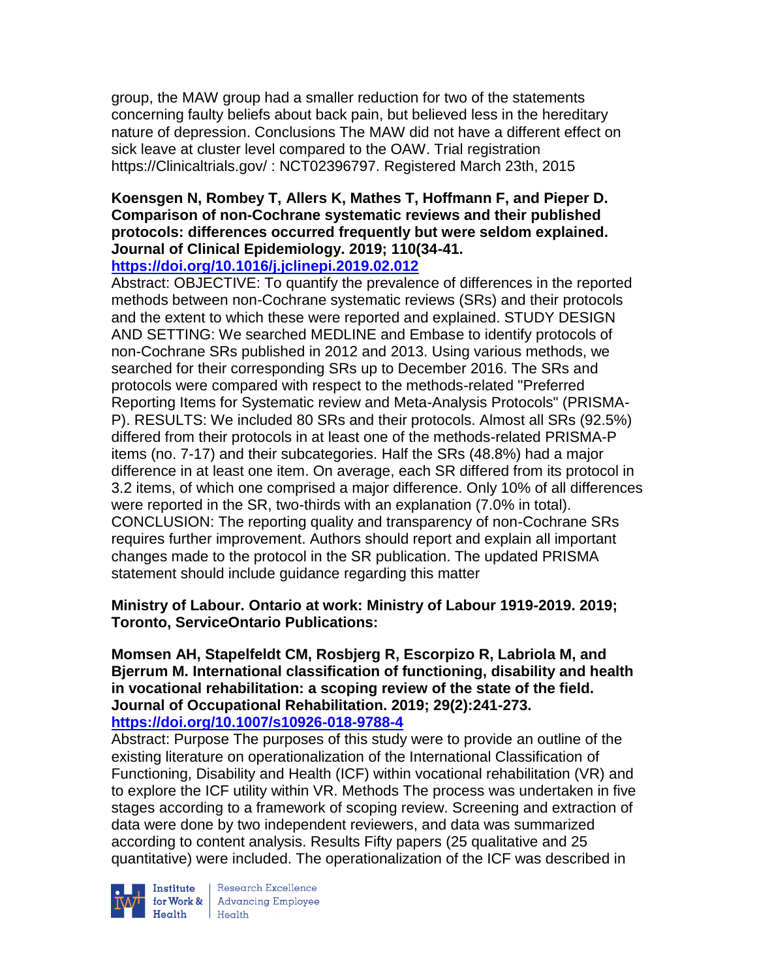group, the MAW group had a smaller reduction for two of the statements concerning faulty beliefs about back pain, but believed less in the hereditary nature of depression. Conclusions The MAW did not have a different effect on sick leave at cluster level compared to the OAW. Trial registration https://Clinicaltrials.gov/ : NCT02396797. Registered March 23th, 2015

#### **Koensgen N, Rombey T, Allers K, Mathes T, Hoffmann F, and Pieper D. Comparison of non-Cochrane systematic reviews and their published protocols: differences occurred frequently but were seldom explained. Journal of Clinical Epidemiology. 2019; 110(34-41. <https://doi.org/10.1016/j.jclinepi.2019.02.012>**

Abstract: OBJECTIVE: To quantify the prevalence of differences in the reported methods between non-Cochrane systematic reviews (SRs) and their protocols and the extent to which these were reported and explained. STUDY DESIGN AND SETTING: We searched MEDLINE and Embase to identify protocols of non-Cochrane SRs published in 2012 and 2013. Using various methods, we searched for their corresponding SRs up to December 2016. The SRs and protocols were compared with respect to the methods-related "Preferred Reporting Items for Systematic review and Meta-Analysis Protocols" (PRISMA-P). RESULTS: We included 80 SRs and their protocols. Almost all SRs (92.5%) differed from their protocols in at least one of the methods-related PRISMA-P items (no. 7-17) and their subcategories. Half the SRs (48.8%) had a major difference in at least one item. On average, each SR differed from its protocol in 3.2 items, of which one comprised a major difference. Only 10% of all differences were reported in the SR, two-thirds with an explanation (7.0% in total). CONCLUSION: The reporting quality and transparency of non-Cochrane SRs requires further improvement. Authors should report and explain all important changes made to the protocol in the SR publication. The updated PRISMA statement should include guidance regarding this matter

## **Ministry of Labour. Ontario at work: Ministry of Labour 1919-2019. 2019; Toronto, ServiceOntario Publications:**

# **Momsen AH, Stapelfeldt CM, Rosbjerg R, Escorpizo R, Labriola M, and Bjerrum M. International classification of functioning, disability and health in vocational rehabilitation: a scoping review of the state of the field. Journal of Occupational Rehabilitation. 2019; 29(2):241-273.**

## **<https://doi.org/10.1007/s10926-018-9788-4>**

Abstract: Purpose The purposes of this study were to provide an outline of the existing literature on operationalization of the International Classification of Functioning, Disability and Health (ICF) within vocational rehabilitation (VR) and to explore the ICF utility within VR. Methods The process was undertaken in five stages according to a framework of scoping review. Screening and extraction of data were done by two independent reviewers, and data was summarized according to content analysis. Results Fifty papers (25 qualitative and 25 quantitative) were included. The operationalization of the ICF was described in



Institute Research Excellence<br>for Work & Advancing Employee<br>Health Health  $Heath$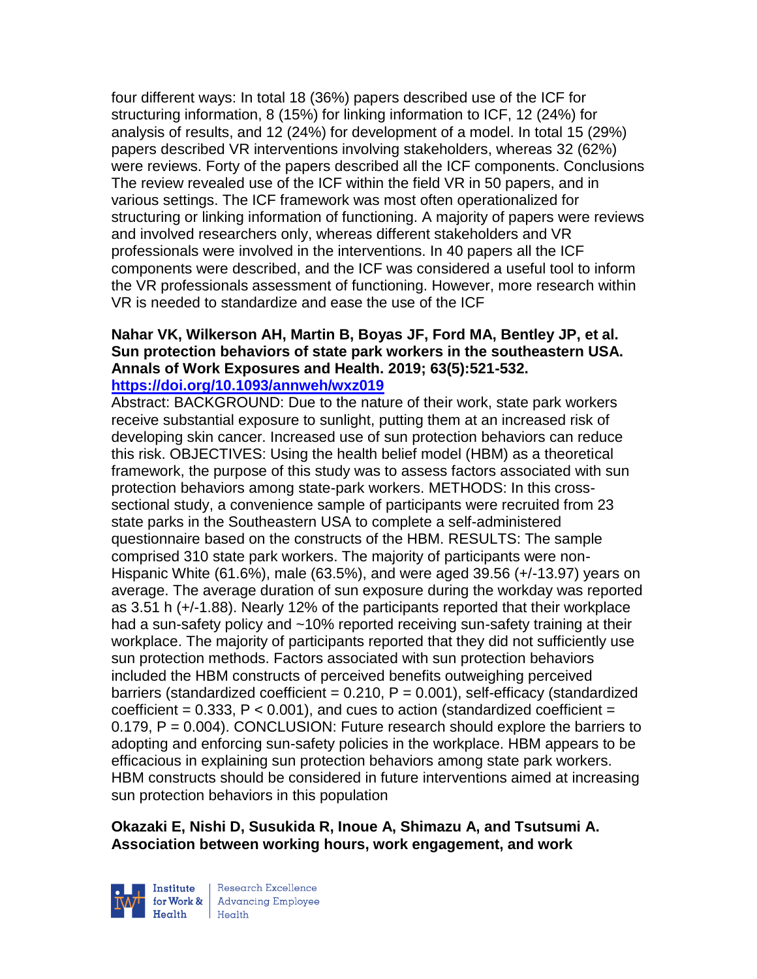four different ways: In total 18 (36%) papers described use of the ICF for structuring information, 8 (15%) for linking information to ICF, 12 (24%) for analysis of results, and 12 (24%) for development of a model. In total 15 (29%) papers described VR interventions involving stakeholders, whereas 32 (62%) were reviews. Forty of the papers described all the ICF components. Conclusions The review revealed use of the ICF within the field VR in 50 papers, and in various settings. The ICF framework was most often operationalized for structuring or linking information of functioning. A majority of papers were reviews and involved researchers only, whereas different stakeholders and VR professionals were involved in the interventions. In 40 papers all the ICF components were described, and the ICF was considered a useful tool to inform the VR professionals assessment of functioning. However, more research within VR is needed to standardize and ease the use of the ICF

# **Nahar VK, Wilkerson AH, Martin B, Boyas JF, Ford MA, Bentley JP, et al. Sun protection behaviors of state park workers in the southeastern USA. Annals of Work Exposures and Health. 2019; 63(5):521-532.**

#### **<https://doi.org/10.1093/annweh/wxz019>**

Abstract: BACKGROUND: Due to the nature of their work, state park workers receive substantial exposure to sunlight, putting them at an increased risk of developing skin cancer. Increased use of sun protection behaviors can reduce this risk. OBJECTIVES: Using the health belief model (HBM) as a theoretical framework, the purpose of this study was to assess factors associated with sun protection behaviors among state-park workers. METHODS: In this crosssectional study, a convenience sample of participants were recruited from 23 state parks in the Southeastern USA to complete a self-administered questionnaire based on the constructs of the HBM. RESULTS: The sample comprised 310 state park workers. The majority of participants were non-Hispanic White (61.6%), male (63.5%), and were aged 39.56 (+/-13.97) years on average. The average duration of sun exposure during the workday was reported as 3.51 h (+/-1.88). Nearly 12% of the participants reported that their workplace had a sun-safety policy and ~10% reported receiving sun-safety training at their workplace. The majority of participants reported that they did not sufficiently use sun protection methods. Factors associated with sun protection behaviors included the HBM constructs of perceived benefits outweighing perceived barriers (standardized coefficient =  $0.210$ ,  $P = 0.001$ ), self-efficacy (standardized coefficient =  $0.333$ , P <  $0.001$ ), and cues to action (standardized coefficient =  $0.179$ ,  $P = 0.004$ ). CONCLUSION: Future research should explore the barriers to adopting and enforcing sun-safety policies in the workplace. HBM appears to be efficacious in explaining sun protection behaviors among state park workers. HBM constructs should be considered in future interventions aimed at increasing sun protection behaviors in this population

## **Okazaki E, Nishi D, Susukida R, Inoue A, Shimazu A, and Tsutsumi A. Association between working hours, work engagement, and work**

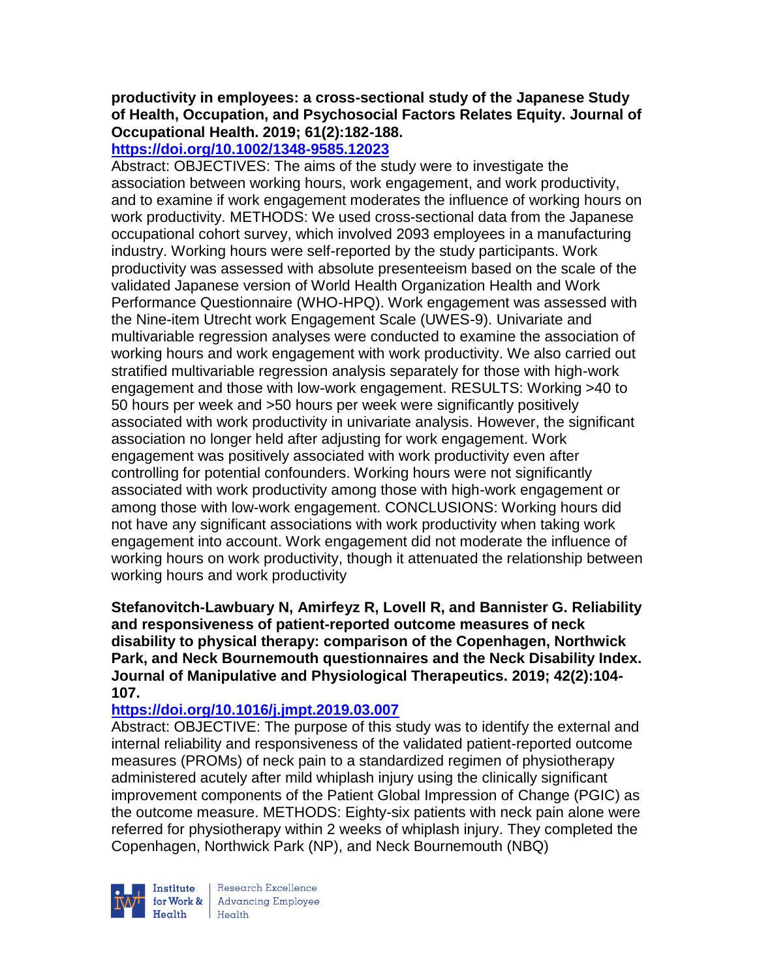**productivity in employees: a cross-sectional study of the Japanese Study of Health, Occupation, and Psychosocial Factors Relates Equity. Journal of Occupational Health. 2019; 61(2):182-188.** 

**<https://doi.org/10.1002/1348-9585.12023>** 

Abstract: OBJECTIVES: The aims of the study were to investigate the association between working hours, work engagement, and work productivity, and to examine if work engagement moderates the influence of working hours on work productivity. METHODS: We used cross-sectional data from the Japanese occupational cohort survey, which involved 2093 employees in a manufacturing industry. Working hours were self-reported by the study participants. Work productivity was assessed with absolute presenteeism based on the scale of the validated Japanese version of World Health Organization Health and Work Performance Questionnaire (WHO-HPQ). Work engagement was assessed with the Nine-item Utrecht work Engagement Scale (UWES-9). Univariate and multivariable regression analyses were conducted to examine the association of working hours and work engagement with work productivity. We also carried out stratified multivariable regression analysis separately for those with high-work engagement and those with low-work engagement. RESULTS: Working >40 to 50 hours per week and >50 hours per week were significantly positively associated with work productivity in univariate analysis. However, the significant association no longer held after adjusting for work engagement. Work engagement was positively associated with work productivity even after controlling for potential confounders. Working hours were not significantly associated with work productivity among those with high-work engagement or among those with low-work engagement. CONCLUSIONS: Working hours did not have any significant associations with work productivity when taking work engagement into account. Work engagement did not moderate the influence of working hours on work productivity, though it attenuated the relationship between working hours and work productivity

**Stefanovitch-Lawbuary N, Amirfeyz R, Lovell R, and Bannister G. Reliability and responsiveness of patient-reported outcome measures of neck disability to physical therapy: comparison of the Copenhagen, Northwick Park, and Neck Bournemouth questionnaires and the Neck Disability Index. Journal of Manipulative and Physiological Therapeutics. 2019; 42(2):104- 107.** 

# **<https://doi.org/10.1016/j.jmpt.2019.03.007>**

Abstract: OBJECTIVE: The purpose of this study was to identify the external and internal reliability and responsiveness of the validated patient-reported outcome measures (PROMs) of neck pain to a standardized regimen of physiotherapy administered acutely after mild whiplash injury using the clinically significant improvement components of the Patient Global Impression of Change (PGIC) as the outcome measure. METHODS: Eighty-six patients with neck pain alone were referred for physiotherapy within 2 weeks of whiplash injury. They completed the Copenhagen, Northwick Park (NP), and Neck Bournemouth (NBQ)

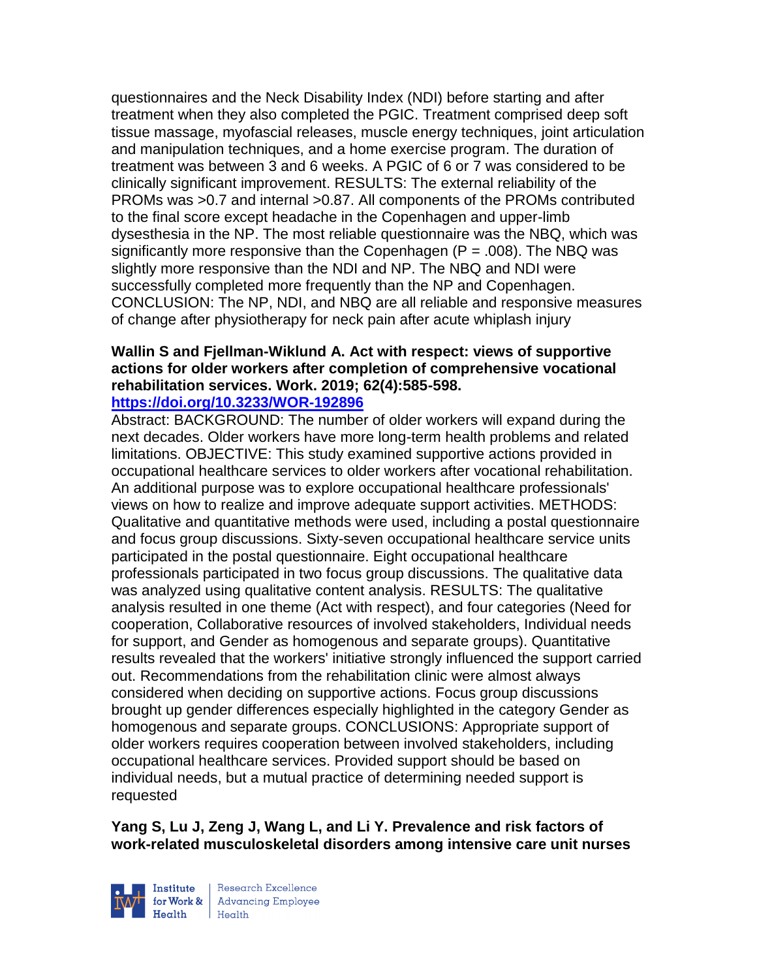questionnaires and the Neck Disability Index (NDI) before starting and after treatment when they also completed the PGIC. Treatment comprised deep soft tissue massage, myofascial releases, muscle energy techniques, joint articulation and manipulation techniques, and a home exercise program. The duration of treatment was between 3 and 6 weeks. A PGIC of 6 or 7 was considered to be clinically significant improvement. RESULTS: The external reliability of the PROMs was >0.7 and internal >0.87. All components of the PROMs contributed to the final score except headache in the Copenhagen and upper-limb dysesthesia in the NP. The most reliable questionnaire was the NBQ, which was significantly more responsive than the Copenhagen  $(P = .008)$ . The NBQ was slightly more responsive than the NDI and NP. The NBQ and NDI were successfully completed more frequently than the NP and Copenhagen. CONCLUSION: The NP, NDI, and NBQ are all reliable and responsive measures of change after physiotherapy for neck pain after acute whiplash injury

#### **Wallin S and Fjellman-Wiklund A. Act with respect: views of supportive actions for older workers after completion of comprehensive vocational rehabilitation services. Work. 2019; 62(4):585-598. <https://doi.org/10.3233/WOR-192896>**

Abstract: BACKGROUND: The number of older workers will expand during the next decades. Older workers have more long-term health problems and related limitations. OBJECTIVE: This study examined supportive actions provided in occupational healthcare services to older workers after vocational rehabilitation. An additional purpose was to explore occupational healthcare professionals' views on how to realize and improve adequate support activities. METHODS: Qualitative and quantitative methods were used, including a postal questionnaire and focus group discussions. Sixty-seven occupational healthcare service units participated in the postal questionnaire. Eight occupational healthcare professionals participated in two focus group discussions. The qualitative data was analyzed using qualitative content analysis. RESULTS: The qualitative analysis resulted in one theme (Act with respect), and four categories (Need for cooperation, Collaborative resources of involved stakeholders, Individual needs for support, and Gender as homogenous and separate groups). Quantitative results revealed that the workers' initiative strongly influenced the support carried out. Recommendations from the rehabilitation clinic were almost always considered when deciding on supportive actions. Focus group discussions brought up gender differences especially highlighted in the category Gender as homogenous and separate groups. CONCLUSIONS: Appropriate support of older workers requires cooperation between involved stakeholders, including occupational healthcare services. Provided support should be based on individual needs, but a mutual practice of determining needed support is requested

**Yang S, Lu J, Zeng J, Wang L, and Li Y. Prevalence and risk factors of work-related musculoskeletal disorders among intensive care unit nurses** 



Research Excellence for Work & Advancing Employee<br>Health Health